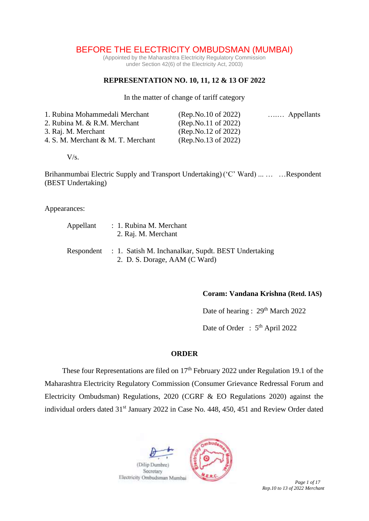# BEFORE THE ELECTRICITY OMBUDSMAN (MUMBAI)

(Appointed by the Maharashtra Electricity Regulatory Commission under Section 42(6) of the Electricity Act, 2003)

## **REPRESENTATION NO. 10, 11, 12 & 13 OF 2022**

In the matter of change of tariff category

| 1. Rubina Mohammedali Merchant     | (Rep No.10 of 2022) | Appellants |
|------------------------------------|---------------------|------------|
| 2. Rubina M. & R.M. Merchant       | (Rep.No.11 of 2022) |            |
| 3. Raj. M. Merchant                | (Rep No.12 of 2022) |            |
| 4. S. M. Merchant & M. T. Merchant | (Rep.No.13 of 2022) |            |

 $V/s.$ 

Brihanmumbai Electric Supply and Transport Undertaking) ('C' Ward) ... … …Respondent (BEST Undertaking)

Appearances:

| Appellant  | : 1. Rubina M. Merchant<br>2. Raj. M. Merchant                                       |  |  |  |  |
|------------|--------------------------------------------------------------------------------------|--|--|--|--|
| Respondent | : 1. Satish M. Inchanalkar, Supdt. BEST Undertaking<br>2. D. S. Dorage, AAM (C Ward) |  |  |  |  |

### **Coram: Vandana Krishna (Retd. IAS)**

Date of hearing : 29<sup>th</sup> March 2022

Date of Order : 5<sup>th</sup> April 2022

#### **ORDER**

These four Representations are filed on  $17<sup>th</sup>$  February 2022 under Regulation 19.1 of the Maharashtra Electricity Regulatory Commission (Consumer Grievance Redressal Forum and Electricity Ombudsman) Regulations, 2020 (CGRF & EO Regulations 2020) against the individual orders dated 31<sup>st</sup> January 2022 in Case No. 448, 450, 451 and Review Order dated

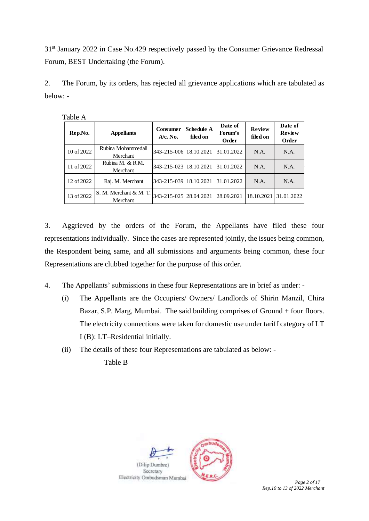31<sup>st</sup> January 2022 in Case No.429 respectively passed by the Consumer Grievance Redressal Forum, BEST Undertaking (the Forum).

2. The Forum, by its orders, has rejected all grievance applications which are tabulated as below: -

| Rep.No.    | <b>Appellants</b>                  | Consumer<br>$A/c.$ No.   | <b>Schedule A</b><br>filed on | Date of<br>Forum's<br>Order | <b>Review</b><br>filed on | Date of<br><b>Review</b><br>Order |
|------------|------------------------------------|--------------------------|-------------------------------|-----------------------------|---------------------------|-----------------------------------|
| 10 of 2022 | Rubina Mohammedali<br>Merchant     | 343-215-006 18.10.2021   |                               | 31.01.2022                  | N.A.                      | N.A.                              |
| 11 of 2022 | Rubina M. & R.M.<br>Merchant       | 343-215-023 18.10.2021   |                               | 31.01.2022                  | N.A.                      | N.A.                              |
| 12 of 2022 | Raj. M. Merchant                   | 343-215-039   18.10.2021 |                               | 31.01.2022                  | N.A.                      | N.A.                              |
| 13 of 2022 | S. M. Merchant & M. T.<br>Merchant | 343-215-025128.04.2021   |                               | 28.09.2021                  | 18.10.2021                | 31.01.2022                        |

Table A

3. Aggrieved by the orders of the Forum, the Appellants have filed these four representations individually. Since the cases are represented jointly, the issues being common, the Respondent being same, and all submissions and arguments being common, these four Representations are clubbed together for the purpose of this order.

4. The Appellants' submissions in these four Representations are in brief as under: -

- (i) The Appellants are the Occupiers/ Owners/ Landlords of Shirin Manzil, Chira Bazar, S.P. Marg, Mumbai. The said building comprises of Ground + four floors. The electricity connections were taken for domestic use under tariff category of LT I (B): LT–Residential initially.
- (ii) The details of these four Representations are tabulated as below: -

Table B

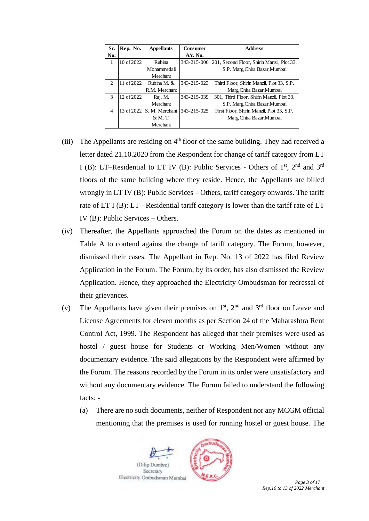| Sr.            | Rep. No.   | <b>Appellants</b> | <b>Consumer</b>   | <b>Address</b>                             |
|----------------|------------|-------------------|-------------------|--------------------------------------------|
| No.            |            |                   | $A/c.$ No.        |                                            |
| 1              | 10 of 2022 | <b>Rubina</b>     | $343 - 215 - 006$ | 201, Second Floor, Shirin Manzil, Plot 33, |
|                |            | Mohammedali       |                   | S.P. Marg, Chira Bazar, Mumbai             |
|                |            | <b>Merchant</b>   |                   |                                            |
| $\mathcal{D}$  | 11 of 2022 | Rubina M. &       | 343-215-023       | Third Floor, Shirin Manzil, Plot 33, S.P.  |
|                |            | R.M. Merchant     |                   | Marg, Chira Bazar, Mumbai                  |
| $\mathbf{3}$   | 12 of 2022 | Raj. M.           | 343-215-039       | 301, Third Floor, Shirin Manzil, Plot 33,  |
|                |            | <b>Merchant</b>   |                   | S.P. Marg.Chira Bazar, Mumbai              |
| $\overline{4}$ | 13 of 2022 | S. M. Merchant    | 343-215-025       | First Floor, Shirin Manzil, Plot 33, S.P.  |
|                |            | & M. T.           |                   | Marg, Chira Bazar, Mumbai                  |
|                |            | Merchant          |                   |                                            |

- (iii) The Appellants are residing on  $4<sup>th</sup>$  floor of the same building. They had received a letter dated 21.10.2020 from the Respondent for change of tariff category from LT I (B): LT–Residential to LT IV (B): Public Services - Others of  $1<sup>st</sup>$ ,  $2<sup>nd</sup>$  and  $3<sup>rd</sup>$ floors of the same building where they reside. Hence, the Appellants are billed wrongly in LT IV (B): Public Services – Others, tariff category onwards. The tariff rate of LT I (B): LT - Residential tariff category is lower than the tariff rate of LT IV (B): Public Services – Others.
- (iv) Thereafter, the Appellants approached the Forum on the dates as mentioned in Table A to contend against the change of tariff category. The Forum, however, dismissed their cases. The Appellant in Rep. No. 13 of 2022 has filed Review Application in the Forum. The Forum, by its order, has also dismissed the Review Application. Hence, they approached the Electricity Ombudsman for redressal of their grievances.
- (v) The Appellants have given their premises on  $1<sup>st</sup>$ ,  $2<sup>nd</sup>$  and  $3<sup>rd</sup>$  floor on Leave and License Agreements for eleven months as per Section 24 of the Maharashtra Rent Control Act, 1999. The Respondent has alleged that their premises were used as hostel / guest house for Students or Working Men/Women without any documentary evidence. The said allegations by the Respondent were affirmed by the Forum. The reasons recorded by the Forum in its order were unsatisfactory and without any documentary evidence. The Forum failed to understand the following facts: -
	- (a) There are no such documents, neither of Respondent nor any MCGM official mentioning that the premises is used for running hostel or guest house. The

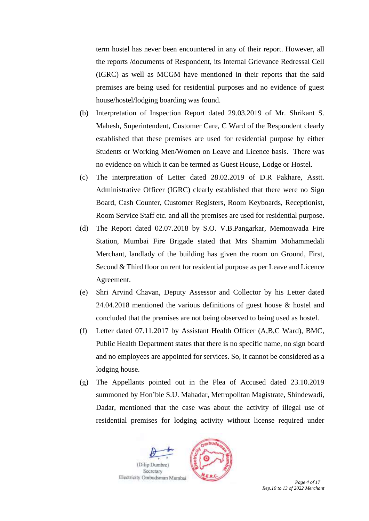term hostel has never been encountered in any of their report. However, all the reports /documents of Respondent, its Internal Grievance Redressal Cell (IGRC) as well as MCGM have mentioned in their reports that the said premises are being used for residential purposes and no evidence of guest house/hostel/lodging boarding was found.

- (b) Interpretation of Inspection Report dated 29.03.2019 of Mr. Shrikant S. Mahesh, Superintendent, Customer Care, C Ward of the Respondent clearly established that these premises are used for residential purpose by either Students or Working Men/Women on Leave and Licence basis. There was no evidence on which it can be termed as Guest House, Lodge or Hostel.
- (c) The interpretation of Letter dated 28.02.2019 of D.R Pakhare, Asstt. Administrative Officer (IGRC) clearly established that there were no Sign Board, Cash Counter, Customer Registers, Room Keyboards, Receptionist, Room Service Staff etc. and all the premises are used for residential purpose.
- (d) The Report dated 02.07.2018 by S.O. V.B.Pangarkar, Memonwada Fire Station, Mumbai Fire Brigade stated that Mrs Shamim Mohammedali Merchant, landlady of the building has given the room on Ground, First, Second & Third floor on rent for residential purpose as per Leave and Licence Agreement.
- (e) Shri Arvind Chavan, Deputy Assessor and Collector by his Letter dated 24.04.2018 mentioned the various definitions of guest house & hostel and concluded that the premises are not being observed to being used as hostel.
- (f) Letter dated 07.11.2017 by Assistant Health Officer (A,B,C Ward), BMC, Public Health Department states that there is no specific name, no sign board and no employees are appointed for services. So, it cannot be considered as a lodging house.
- (g) The Appellants pointed out in the Plea of Accused dated 23.10.2019 summoned by Hon'ble S.U. Mahadar, Metropolitan Magistrate, Shindewadi, Dadar, mentioned that the case was about the activity of illegal use of residential premises for lodging activity without license required under



*Rep.10 to 13 of 2022 Merchant*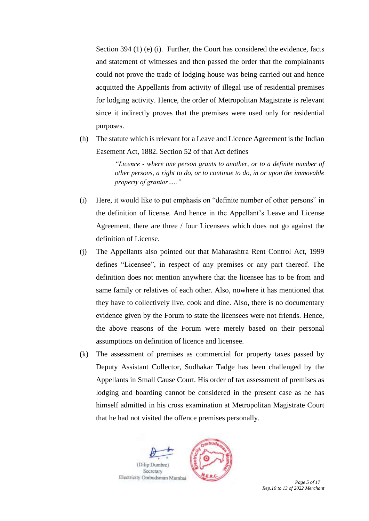Section 394 (1) (e) (i). Further, the Court has considered the evidence, facts and statement of witnesses and then passed the order that the complainants could not prove the trade of lodging house was being carried out and hence acquitted the Appellants from activity of illegal use of residential premises for lodging activity. Hence, the order of Metropolitan Magistrate is relevant since it indirectly proves that the premises were used only for residential purposes.

(h) The statute which is relevant for a Leave and Licence Agreement is the Indian Easement Act, 1882. Section 52 of that Act defines

> *"Licence - where one person grants to another, or to a definite number of other persons, a right to do, or to continue to do, in or upon the immovable property of grantor….."*

- (i) Here, it would like to put emphasis on "definite number of other persons" in the definition of license. And hence in the Appellant's Leave and License Agreement, there are three / four Licensees which does not go against the definition of License.
- (j) The Appellants also pointed out that Maharashtra Rent Control Act, 1999 defines "Licensee", in respect of any premises or any part thereof. The definition does not mention anywhere that the licensee has to be from and same family or relatives of each other. Also, nowhere it has mentioned that they have to collectively live, cook and dine. Also, there is no documentary evidence given by the Forum to state the licensees were not friends. Hence, the above reasons of the Forum were merely based on their personal assumptions on definition of licence and licensee.
- (k) The assessment of premises as commercial for property taxes passed by Deputy Assistant Collector, Sudhakar Tadge has been challenged by the Appellants in Small Cause Court. His order of tax assessment of premises as lodging and boarding cannot be considered in the present case as he has himself admitted in his cross examination at Metropolitan Magistrate Court that he had not visited the offence premises personally.

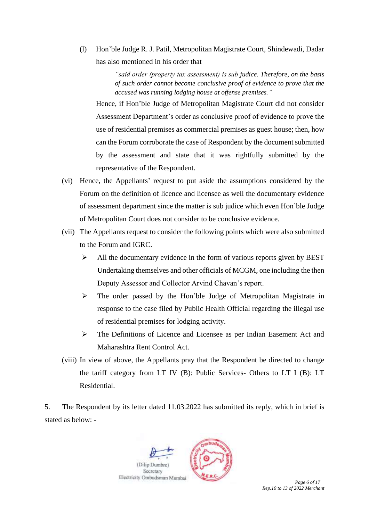(l) Hon'ble Judge R. J. Patil, Metropolitan Magistrate Court, Shindewadi, Dadar has also mentioned in his order that

> *"said order (property tax assessment) is sub judice. Therefore, on the basis of such order cannot become conclusive proof of evidence to prove that the accused was running lodging house at offense premises."*

Hence, if Hon'ble Judge of Metropolitan Magistrate Court did not consider Assessment Department's order as conclusive proof of evidence to prove the use of residential premises as commercial premises as guest house; then, how can the Forum corroborate the case of Respondent by the document submitted by the assessment and state that it was rightfully submitted by the representative of the Respondent.

- (vi) Hence, the Appellants' request to put aside the assumptions considered by the Forum on the definition of licence and licensee as well the documentary evidence of assessment department since the matter is sub judice which even Hon'ble Judge of Metropolitan Court does not consider to be conclusive evidence.
- (vii) The Appellants request to consider the following points which were also submitted to the Forum and IGRC.
	- ➢ All the documentary evidence in the form of various reports given by BEST Undertaking themselves and other officials of MCGM, one including the then Deputy Assessor and Collector Arvind Chavan's report.
	- ➢ The order passed by the Hon'ble Judge of Metropolitan Magistrate in response to the case filed by Public Health Official regarding the illegal use of residential premises for lodging activity.
	- ➢ The Definitions of Licence and Licensee as per Indian Easement Act and Maharashtra Rent Control Act.
- (viii) In view of above, the Appellants pray that the Respondent be directed to change the tariff category from LT IV (B): Public Services- Others to LT I (B): LT Residential.

5. The Respondent by its letter dated 11.03.2022 has submitted its reply, which in brief is stated as below: -

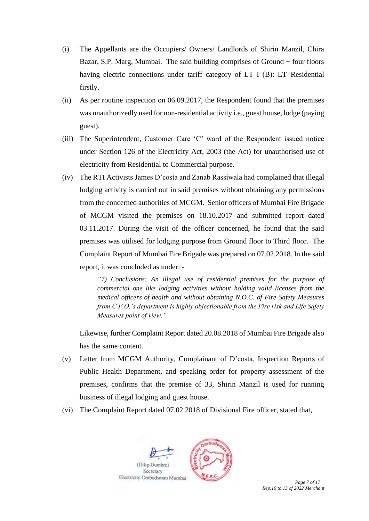- (i) The Appellants are the Occupiers/ Owners/ Landlords of Shirin Manzil, Chira Bazar, S.P. Marg, Mumbai. The said building comprises of Ground + four floors having electric connections under tariff category of LT I (B): LT–Residential firstly.
- (ii) As per routine inspection on 06.09.2017, the Respondent found that the premises was unauthorizedly used for non-residential activity i.e., guest house, lodge (paying guest).
- (iii) The Superintendent, Customer Care 'C' ward of the Respondent issued notice under Section 126 of the Electricity Act, 2003 (the Act) for unauthorised use of electricity from Residential to Commercial purpose.
- (iv) The RTI Activists James D'costa and Zanab Rassiwala had complained that illegal lodging activity is carried out in said premises without obtaining any permissions from the concerned authorities of MCGM. Senior officers of Mumbai Fire Brigade of MCGM visited the premises on 18.10.2017 and submitted report dated 03.11.2017. During the visit of the officer concerned, he found that the said premises was utilised for lodging purpose from Ground floor to Third floor. The Complaint Report of Mumbai Fire Brigade was prepared on 07.02.2018. In the said report, it was concluded as under: -

*"7) Conclusions: An illegal use of residential premises for the purpose of commercial one like lodging activities without holding valid licenses from the medical officers of health and without obtaining N.O.C. of Fire Safety Measures from C.F.O.'s department is highly objectionable from the Fire risk and Life Safety Measures point of view."*

Likewise, further Complaint Report dated 20.08.2018 of Mumbai Fire Brigade also has the same content.

- (v) Letter from MCGM Authority, Complainant of D'costa, Inspection Reports of Public Health Department, and speaking order for property assessment of the premises, confirms that the premise of 33, Shirin Manzil is used for running business of illegal lodging and guest house.
- (vi) The Complaint Report dated 07.02.2018 of Divisional Fire officer, stated that,

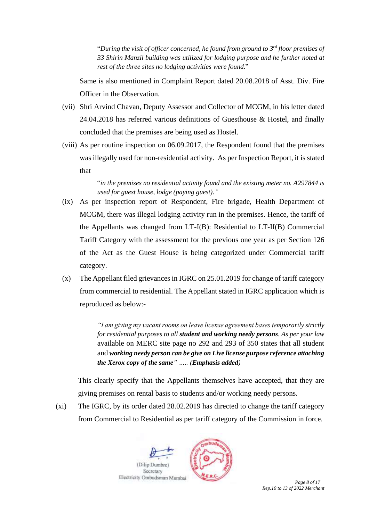"*During the visit of officer concerned, he found from ground to 3 rd floor premises of 33 Shirin Manzil building was utilized for lodging purpose and he further noted at rest of the three sites no lodging activities were found*."

Same is also mentioned in Complaint Report dated 20.08.2018 of Asst. Div. Fire Officer in the Observation.

- (vii) Shri Arvind Chavan, Deputy Assessor and Collector of MCGM, in his letter dated 24.04.2018 has referred various definitions of Guesthouse & Hostel, and finally concluded that the premises are being used as Hostel.
- (viii) As per routine inspection on 06.09.2017, the Respondent found that the premises was illegally used for non-residential activity. As per Inspection Report, it is stated that

"*in the premises no residential activity found and the existing meter no. A297844 is used for guest house, lodge (paying guest)."*

- (ix) As per inspection report of Respondent, Fire brigade, Health Department of MCGM, there was illegal lodging activity run in the premises. Hence, the tariff of the Appellants was changed from LT-I(B): Residential to LT-II(B) Commercial Tariff Category with the assessment for the previous one year as per Section 126 of the Act as the Guest House is being categorized under Commercial tariff category.
- (x) The Appellant filed grievances in IGRC on 25.01.2019 for change of tariff category from commercial to residential. The Appellant stated in IGRC application which is reproduced as below:-

*"I am giving my vacant rooms on leave license agreement bases temporarily strictly for residential purposes to all student and working needy persons. As per your law*  available on MERC site page no 292 and 293 of 350 states that all student and *working needy person can be give on Live license purpose reference attaching the Xerox copy of the same" ….. (Emphasis added)*

This clearly specify that the Appellants themselves have accepted, that they are giving premises on rental basis to students and/or working needy persons.

(xi) The IGRC, by its order dated 28.02.2019 has directed to change the tariff category from Commercial to Residential as per tariff category of the Commission in force.

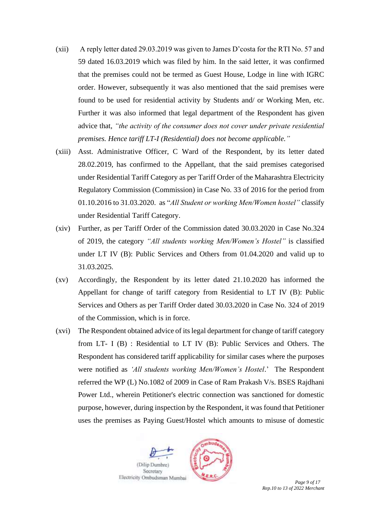- (xii) A reply letter dated 29.03.2019 was given to James D'costa for the RTI No. 57 and 59 dated 16.03.2019 which was filed by him. In the said letter, it was confirmed that the premises could not be termed as Guest House, Lodge in line with IGRC order. However, subsequently it was also mentioned that the said premises were found to be used for residential activity by Students and/ or Working Men, etc. Further it was also informed that legal department of the Respondent has given advice that, *"the activity of the consumer does not cover under private residential premises. Hence tariff LT-I (Residential) does not become applicable."*
- (xiii) Asst. Administrative Officer, C Ward of the Respondent, by its letter dated 28.02.2019, has confirmed to the Appellant, that the said premises categorised under Residential Tariff Category as per Tariff Order of the Maharashtra Electricity Regulatory Commission (Commission) in Case No. 33 of 2016 for the period from 01.10.2016 to 31.03.2020. as "*All Student or working Men/Women hostel"* classify under Residential Tariff Category.
- (xiv) Further, as per Tariff Order of the Commission dated 30.03.2020 in Case No.324 of 2019, the category *"All students working Men/Women's Hostel"* is classified under LT IV (B): Public Services and Others from 01.04.2020 and valid up to 31.03.2025.
- (xv) Accordingly, the Respondent by its letter dated 21.10.2020 has informed the Appellant for change of tariff category from Residential to LT IV (B): Public Services and Others as per Tariff Order dated 30.03.2020 in Case No. 324 of 2019 of the Commission, which is in force.
- (xvi) The Respondent obtained advice of itslegal department for change of tariff category from LT- I (B) : Residential to LT IV (B): Public Services and Others. The Respondent has considered tariff applicability for similar cases where the purposes were notified as *'All students working Men/Women's Hostel*.' The Respondent referred the WP (L) No.1082 of 2009 in Case of Ram Prakash V/s. BSES Rajdhani Power Ltd., wherein Petitioner's electric connection was sanctioned for domestic purpose, however, during inspection by the Respondent, it was found that Petitioner uses the premises as Paying Guest/Hostel which amounts to misuse of domestic

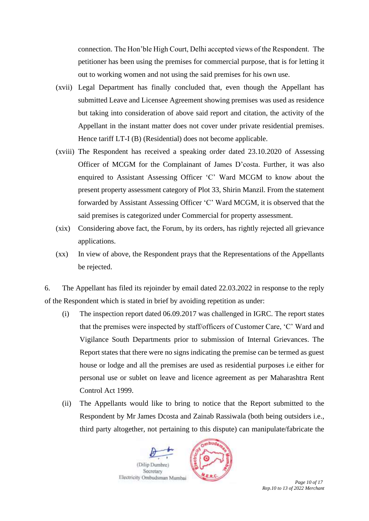connection. The Hon'ble High Court, Delhi accepted views of the Respondent. The petitioner has been using the premises for commercial purpose, that is for letting it out to working women and not using the said premises for his own use.

- (xvii) Legal Department has finally concluded that, even though the Appellant has submitted Leave and Licensee Agreement showing premises was used as residence but taking into consideration of above said report and citation, the activity of the Appellant in the instant matter does not cover under private residential premises. Hence tariff LT-I (B) (Residential) does not become applicable.
- (xviii) The Respondent has received a speaking order dated 23.10.2020 of Assessing Officer of MCGM for the Complainant of James D'costa. Further, it was also enquired to Assistant Assessing Officer 'C' Ward MCGM to know about the present property assessment category of Plot 33, Shirin Manzil. From the statement forwarded by Assistant Assessing Officer 'C' Ward MCGM, it is observed that the said premises is categorized under Commercial for property assessment.
- (xix) Considering above fact, the Forum, by its orders, has rightly rejected all grievance applications.
- (xx) In view of above, the Respondent prays that the Representations of the Appellants be rejected.

6. The Appellant has filed its rejoinder by email dated 22.03.2022 in response to the reply of the Respondent which is stated in brief by avoiding repetition as under:

- (i) The inspection report dated 06.09.2017 was challenged in IGRC. The report states that the premises were inspected by staff/officers of Customer Care, 'C' Ward and Vigilance South Departments prior to submission of Internal Grievances. The Report states that there were no signs indicating the premise can be termed as guest house or lodge and all the premises are used as residential purposes i.e either for personal use or sublet on leave and licence agreement as per Maharashtra Rent Control Act 1999.
- (ii) The Appellants would like to bring to notice that the Report submitted to the Respondent by Mr James Dcosta and Zainab Rassiwala (both being outsiders i.e., third party altogether, not pertaining to this dispute) can manipulate/fabricate the

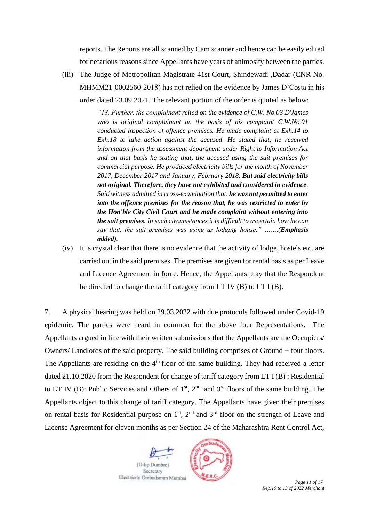reports. The Reports are all scanned by Cam scanner and hence can be easily edited for nefarious reasons since Appellants have years of animosity between the parties.

(iii) The Judge of Metropolitan Magistrate 41st Court, Shindewadi ,Dadar (CNR No. MHMM21-0002560-2018) has not relied on the evidence by James D'Costa in his order dated 23.09.2021. The relevant portion of the order is quoted as below:

> *"18. Further, the complainant relied on the evidence of C.W. No.03 D'James who is original complainant on the basis of his complaint C.W.No.01 conducted inspection of offence premises. He made complaint at Exh.14 to Exh.18 to take action against the accused. He stated that, he received information from the assessment department under Right to Information Act and on that basis he stating that, the accused using the suit premises for commercial purpose. He produced electricity bills for the month of November 2017, December 2017 and January, February 2018. But said electricity bills not original. Therefore, they have not exhibited and considered in evidence. Said witness admitted in cross-examination that, he was not permitted to enter into the offence premises for the reason that, he was restricted to enter by the Hon'ble City Civil Court and he made complaint without entering into the suit premises. In such circumstances it is difficult to ascertain how he can say that, the suit premises was using as lodging house." …….(Emphasis added).*

(iv) It is crystal clear that there is no evidence that the activity of lodge, hostels etc. are carried out in the said premises. The premises are given for rental basis as per Leave and Licence Agreement in force. Hence, the Appellants pray that the Respondent be directed to change the tariff category from LT IV (B) to LT I (B).

7. A physical hearing was held on 29.03.2022 with due protocols followed under Covid-19 epidemic. The parties were heard in common for the above four Representations. The Appellants argued in line with their written submissions that the Appellants are the Occupiers/ Owners/ Landlords of the said property. The said building comprises of Ground + four floors. The Appellants are residing on the  $4<sup>th</sup>$  floor of the same building. They had received a letter dated 21.10.2020 from the Respondent for change of tariff category from LT I (B) : Residential to LT IV (B): Public Services and Others of  $1<sup>st</sup>$ ,  $2<sup>nd</sup>$ , and  $3<sup>rd</sup>$  floors of the same building. The Appellants object to this change of tariff category. The Appellants have given their premises on rental basis for Residential purpose on  $1<sup>st</sup>$ ,  $2<sup>nd</sup>$  and  $3<sup>rd</sup>$  floor on the strength of Leave and License Agreement for eleven months as per Section 24 of the Maharashtra Rent Control Act,

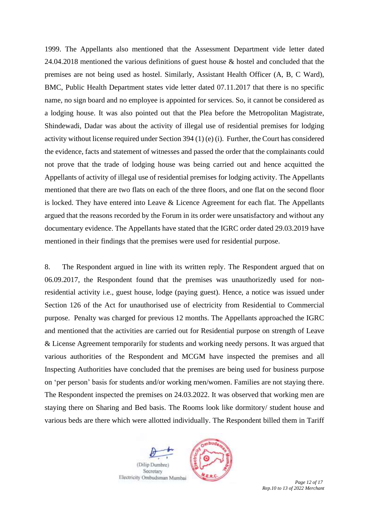1999. The Appellants also mentioned that the Assessment Department vide letter dated 24.04.2018 mentioned the various definitions of guest house & hostel and concluded that the premises are not being used as hostel. Similarly, Assistant Health Officer (A, B, C Ward), BMC, Public Health Department states vide letter dated 07.11.2017 that there is no specific name, no sign board and no employee is appointed for services. So, it cannot be considered as a lodging house. It was also pointed out that the Plea before the Metropolitan Magistrate, Shindewadi, Dadar was about the activity of illegal use of residential premises for lodging activity without license required under Section 394 (1) (e) (i). Further, the Court has considered the evidence, facts and statement of witnesses and passed the order that the complainants could not prove that the trade of lodging house was being carried out and hence acquitted the Appellants of activity of illegal use of residential premises for lodging activity. The Appellants mentioned that there are two flats on each of the three floors, and one flat on the second floor is locked. They have entered into Leave & Licence Agreement for each flat. The Appellants argued that the reasons recorded by the Forum in its order were unsatisfactory and without any documentary evidence. The Appellants have stated that the IGRC order dated 29.03.2019 have mentioned in their findings that the premises were used for residential purpose.

8. The Respondent argued in line with its written reply. The Respondent argued that on 06.09.2017, the Respondent found that the premises was unauthorizedly used for nonresidential activity i.e., guest house, lodge (paying guest). Hence, a notice was issued under Section 126 of the Act for unauthorised use of electricity from Residential to Commercial purpose. Penalty was charged for previous 12 months. The Appellants approached the IGRC and mentioned that the activities are carried out for Residential purpose on strength of Leave & License Agreement temporarily for students and working needy persons. It was argued that various authorities of the Respondent and MCGM have inspected the premises and all Inspecting Authorities have concluded that the premises are being used for business purpose on 'per person' basis for students and/or working men/women. Families are not staying there. The Respondent inspected the premises on 24.03.2022. It was observed that working men are staying there on Sharing and Bed basis. The Rooms look like dormitory/ student house and various beds are there which were allotted individually. The Respondent billed them in Tariff

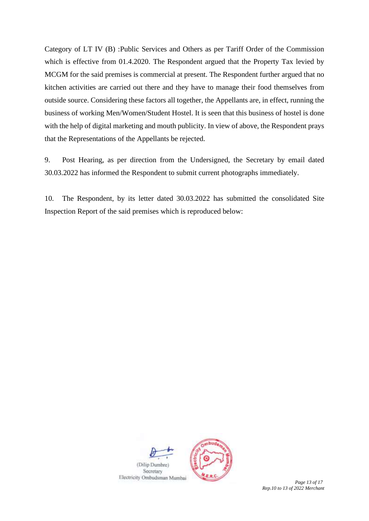Category of LT IV (B) :Public Services and Others as per Tariff Order of the Commission which is effective from 01.4.2020. The Respondent argued that the Property Tax levied by MCGM for the said premises is commercial at present. The Respondent further argued that no kitchen activities are carried out there and they have to manage their food themselves from outside source. Considering these factors all together, the Appellants are, in effect, running the business of working Men/Women/Student Hostel. It is seen that this business of hostel is done with the help of digital marketing and mouth publicity. In view of above, the Respondent prays that the Representations of the Appellants be rejected.

9. Post Hearing, as per direction from the Undersigned, the Secretary by email dated 30.03.2022 has informed the Respondent to submit current photographs immediately.

10. The Respondent, by its letter dated 30.03.2022 has submitted the consolidated Site Inspection Report of the said premises which is reproduced below:

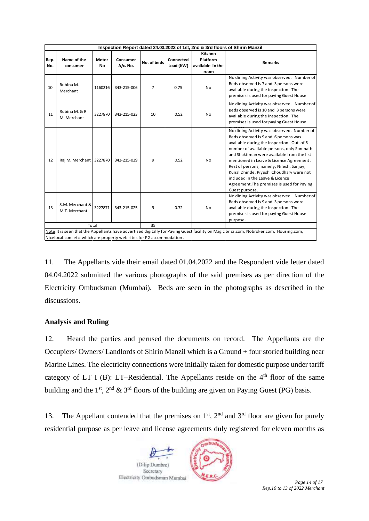| Inspection Report dated 24.03.2022 of 1st, 2nd & 3rd floors of Shirin Manzil |                                                                                                                                         |              |             |                |           |                  |                                                                                                                                                                                                                                                                                                                                                                                                                                                                 |
|------------------------------------------------------------------------------|-----------------------------------------------------------------------------------------------------------------------------------------|--------------|-------------|----------------|-----------|------------------|-----------------------------------------------------------------------------------------------------------------------------------------------------------------------------------------------------------------------------------------------------------------------------------------------------------------------------------------------------------------------------------------------------------------------------------------------------------------|
|                                                                              |                                                                                                                                         |              |             |                |           | Kitchen          |                                                                                                                                                                                                                                                                                                                                                                                                                                                                 |
| Rep.                                                                         | Name of the                                                                                                                             | <b>Meter</b> | Consumer    | No. of beds    | Connected | Platform         | <b>Remarks</b>                                                                                                                                                                                                                                                                                                                                                                                                                                                  |
| No.                                                                          | consumer                                                                                                                                | No           | A/c. No.    |                | Load (KW) | available in the |                                                                                                                                                                                                                                                                                                                                                                                                                                                                 |
|                                                                              |                                                                                                                                         |              |             |                |           | room             |                                                                                                                                                                                                                                                                                                                                                                                                                                                                 |
| 10                                                                           | Rubina M.<br>Merchant                                                                                                                   | 1160216      | 343-215-006 | $\overline{7}$ | 0.75      | <b>No</b>        | No dining Activity was observed. Number of<br>Beds observed is 7 and 3 persons were<br>available during the inspection. The<br>premises is used for paying Guest House                                                                                                                                                                                                                                                                                          |
| 11                                                                           | Rubina M. & R.<br>M. Merchant                                                                                                           | 3227870      | 343-215-023 | 10             | 0.52      | <b>No</b>        | No dining Activity was observed. Number of<br>Beds observed is 10 and 3 persons were<br>available during the inspection. The<br>premises is used for paying Guest House                                                                                                                                                                                                                                                                                         |
| 12                                                                           | Raj M. Merchant 3227870                                                                                                                 |              | 343-215-039 | 9              | 0.52      | <b>No</b>        | No dining Activity was observed. Number of<br>Beds observed is 9 and 6 persons was<br>available during the inspection. Out of 6<br>number of available persons, only Somnath<br>and Shaktiman were available from the list<br>mentioned in Leave & Licence Agreement.<br>Rest of persons, namely, Nilesh, Sanjay,<br>Kunal Dhinde, Piyush Choudhary were not<br>included in the Leave & Licence<br>Agreement. The premises is used for Paying<br>Guest purpose. |
| 13                                                                           | S.M. Merchant &<br>M.T. Merchant                                                                                                        | 3227871      | 343-215-025 | 9              | 0.72      | <b>No</b>        | No dining Activity was observed. Number of<br>Beds observed is 9 and 3 persons were<br>available during the inspection. The<br>premises is used for paying Guest House<br>purpose.                                                                                                                                                                                                                                                                              |
| Total                                                                        |                                                                                                                                         |              |             | 35             |           |                  |                                                                                                                                                                                                                                                                                                                                                                                                                                                                 |
|                                                                              | Note: It is seen that the Appellants have advertised digitally for Paying Guest facility on Magic brics.com, Nobroker.com, Housing.com, |              |             |                |           |                  |                                                                                                                                                                                                                                                                                                                                                                                                                                                                 |
|                                                                              | Nicelocal.com etc. which are property web sites for PG accommodation.                                                                   |              |             |                |           |                  |                                                                                                                                                                                                                                                                                                                                                                                                                                                                 |

11. The Appellants vide their email dated 01.04.2022 and the Respondent vide letter dated 04.04.2022 submitted the various photographs of the said premises as per direction of the Electricity Ombudsman (Mumbai). Beds are seen in the photographs as described in the discussions.

## **Analysis and Ruling**

12. Heard the parties and perused the documents on record. The Appellants are the Occupiers/ Owners/ Landlords of Shirin Manzil which is a Ground + four storied building near Marine Lines. The electricity connections were initially taken for domestic purpose under tariff category of LT I (B): LT–Residential. The Appellants reside on the  $4<sup>th</sup>$  floor of the same building and the 1<sup>st</sup>,  $2<sup>nd</sup>$  & 3<sup>rd</sup> floors of the building are given on Paying Guest (PG) basis.

13. The Appellant contended that the premises on  $1<sup>st</sup>$ ,  $2<sup>nd</sup>$  and  $3<sup>rd</sup>$  floor are given for purely residential purpose as per leave and license agreements duly registered for eleven months as

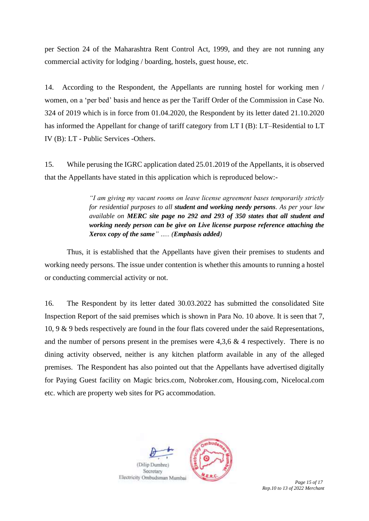per Section 24 of the Maharashtra Rent Control Act, 1999, and they are not running any commercial activity for lodging / boarding, hostels, guest house, etc.

14. According to the Respondent, the Appellants are running hostel for working men / women, on a 'per bed' basis and hence as per the Tariff Order of the Commission in Case No. 324 of 2019 which is in force from 01.04.2020, the Respondent by its letter dated 21.10.2020 has informed the Appellant for change of tariff category from LT I (B): LT–Residential to LT IV (B): LT - Public Services -Others.

15. While perusing the IGRC application dated 25.01.2019 of the Appellants, it is observed that the Appellants have stated in this application which is reproduced below:-

> *"I am giving my vacant rooms on leave license agreement bases temporarily strictly for residential purposes to all student and working needy persons. As per your law available on MERC site page no 292 and 293 of 350 states that all student and working needy person can be give on Live license purpose reference attaching the Xerox copy of the same" ….. (Emphasis added)*

Thus, it is established that the Appellants have given their premises to students and working needy persons. The issue under contention is whether this amounts to running a hostel or conducting commercial activity or not.

16. The Respondent by its letter dated 30.03.2022 has submitted the consolidated Site Inspection Report of the said premises which is shown in Para No. 10 above. It is seen that 7, 10, 9 & 9 beds respectively are found in the four flats covered under the said Representations, and the number of persons present in the premises were  $4.3.6 \& 4$  respectively. There is no dining activity observed, neither is any kitchen platform available in any of the alleged premises. The Respondent has also pointed out that the Appellants have advertised digitally for Paying Guest facility on Magic brics.com, Nobroker.com, Housing.com, Nicelocal.com etc. which are property web sites for PG accommodation.



*Rep.10 to 13 of 2022 Merchant*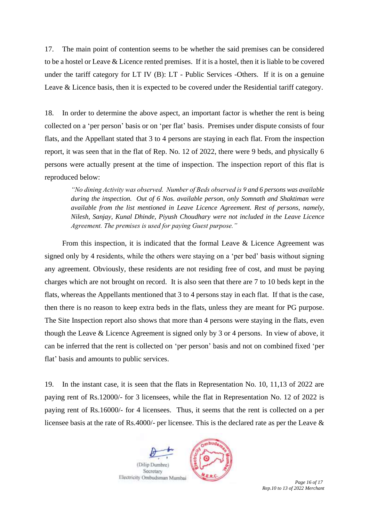17. The main point of contention seems to be whether the said premises can be considered to be a hostel or Leave & Licence rented premises. If it is a hostel, then it is liable to be covered under the tariff category for LT IV (B): LT - Public Services -Others. If it is on a genuine Leave & Licence basis, then it is expected to be covered under the Residential tariff category.

18. In order to determine the above aspect, an important factor is whether the rent is being collected on a 'per person' basis or on 'per flat' basis. Premises under dispute consists of four flats, and the Appellant stated that 3 to 4 persons are staying in each flat. From the inspection report, it was seen that in the flat of Rep. No. 12 of 2022, there were 9 beds, and physically 6 persons were actually present at the time of inspection. The inspection report of this flat is reproduced below:

*"No dining Activity was observed. Number of Beds observed is 9 and 6 persons was available during the inspection. Out of 6 Nos. available person, only Somnath and Shaktiman were available from the list mentioned in Leave Licence Agreement. Rest of persons, namely, Nilesh, Sanjay, Kunal Dhinde, Piyush Choudhary were not included in the Leave Licence Agreement. The premises is used for paying Guest purpose."* 

From this inspection, it is indicated that the formal Leave & Licence Agreement was signed only by 4 residents, while the others were staying on a 'per bed' basis without signing any agreement. Obviously, these residents are not residing free of cost, and must be paying charges which are not brought on record. It is also seen that there are 7 to 10 beds kept in the flats, whereas the Appellants mentioned that 3 to 4 persons stay in each flat. If that is the case, then there is no reason to keep extra beds in the flats, unless they are meant for PG purpose. The Site Inspection report also shows that more than 4 persons were staying in the flats, even though the Leave & Licence Agreement is signed only by 3 or 4 persons. In view of above, it can be inferred that the rent is collected on 'per person' basis and not on combined fixed 'per flat' basis and amounts to public services.

19. In the instant case, it is seen that the flats in Representation No. 10, 11,13 of 2022 are paying rent of Rs.12000/- for 3 licensees, while the flat in Representation No. 12 of 2022 is paying rent of Rs.16000/- for 4 licensees. Thus, it seems that the rent is collected on a per licensee basis at the rate of Rs.4000/- per licensee. This is the declared rate as per the Leave &